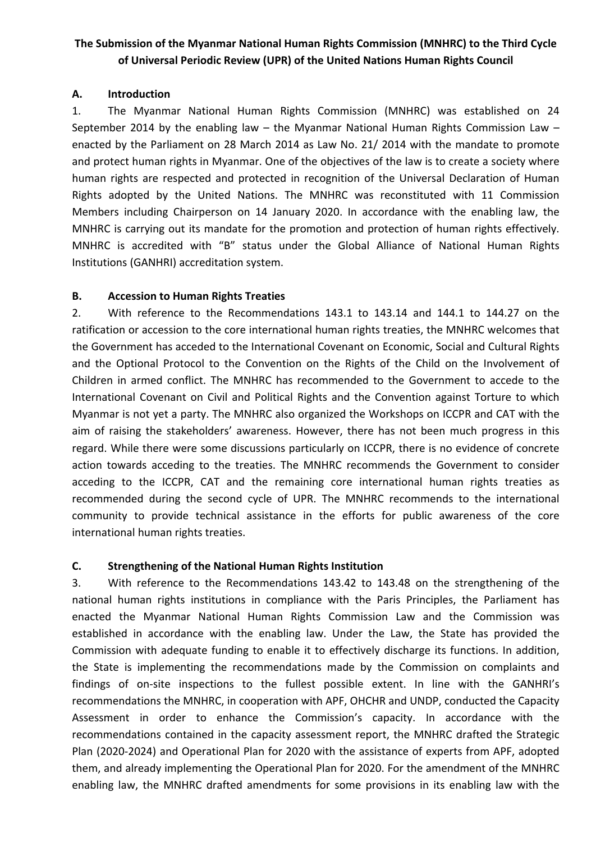# **The Submission of the Myanmar National Human Rights Commission (MNHRC) to the Third Cycle of Universal Periodic Review (UPR) of the United Nations Human Rights Council**

## **A. Introduction**

1. The Myanmar National Human Rights Commission (MNHRC) was established on 24 September 2014 by the enabling law – the Myanmar National Human Rights Commission Law – enacted by the Parliament on 28 March 2014 as Law No. 21/ 2014 with the mandate to promote and protect human rights in Myanmar. One of the objectives of the law is to create <sup>a</sup> society where human rights are respected and protected in recognition of the Universal Declaration of Human Rights adopted by the United Nations. The MNHRC was reconstituted with 11 Commission Members including Chairperson on 14 January 2020. In accordance with the enabling law, the MNHRC is carrying out its mandate for the promotion and protection of human rights effectively. MNHRC is accredited with "B" status under the Global Alliance of National Human Rights Institutions (GANHRI) accreditation system.

# **B. Accession to Human Rights Treaties**

2. With reference to the Recommendations 143.1 to 143.14 and 144.1 to 144.27 on the ratification or accession to the core international human rights treaties, the MNHRC welcomes that the Government has acceded to the International Covenant on Economic, Social and Cultural Rights and the Optional Protocol to the Convention on the Rights of the Child on the Involvement of Children in armed conflict. The MNHRC has recommended to the Government to accede to the International Covenant on Civil and Political Rights and the Convention against Torture to which Myanmar is not yet <sup>a</sup> party. The MNHRC also organized the Workshops on ICCPR and CAT with the aim of raising the stakeholders' awareness. However, there has not been much progress in this regard. While there were some discussions particularly on ICCPR, there is no evidence of concrete action towards acceding to the treaties. The MNHRC recommends the Government to consider acceding to the ICCPR, CAT and the remaining core international human rights treaties as recommended during the second cycle of UPR. The MNHRC recommends to the international community to provide technical assistance in the efforts for public awareness of the core international human rights treaties.

# **C. Strengthening of the National Human Rights Institution**

3. With reference to the Recommendations 143.42 to 143.48 on the strengthening of the national human rights institutions in compliance with the Paris Principles, the Parliament has enacted the Myanmar National Human Rights Commission Law and the Commission was established in accordance with the enabling law. Under the Law, the State has provided the Commission with adequate funding to enable it to effectively discharge its functions. In addition, the State is implementing the recommendations made by the Commission on complaints and findings of on-site inspections to the fullest possible extent. In line with the GANHRI'<sup>s</sup> recommendations the MNHRC, in cooperation with APF, OHCHR and UNDP, conducted the Capacity Assessment in order to enhance the Commission'<sup>s</sup> capacity. In accordance with the recommendations contained in the capacity assessment report, the MNHRC drafted the Strategic Plan (2020-2024) and Operational Plan for 2020 with the assistance of experts from APF, adopted them, and already implementing the Operational Plan for 2020. For the amendment of the MNHRC enabling law, the MNHRC drafted amendments for some provisions in its enabling law with the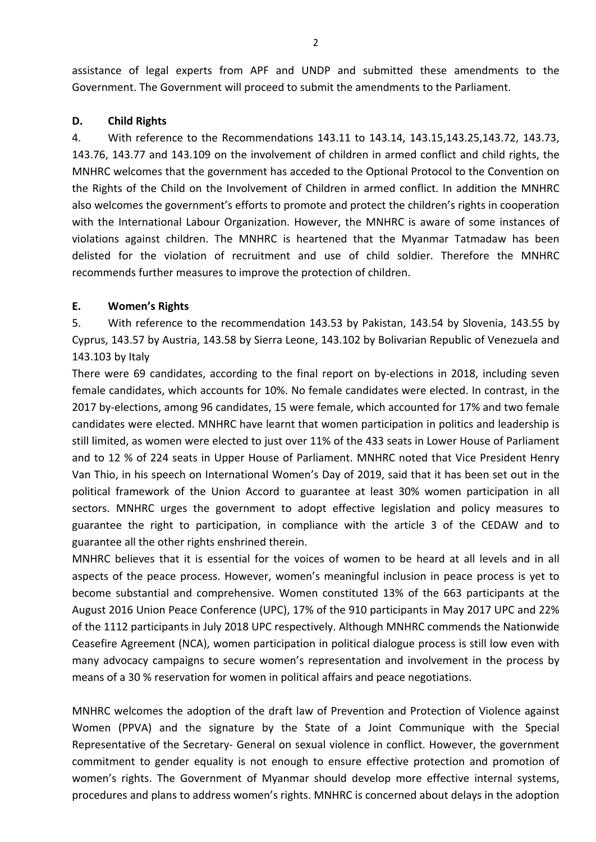assistance of legal experts from APF and UNDP and submitted these amendments to the Government. The Government will proceed to submit the amendments to the Parliament.

# **D. Child Rights**

4. With reference to the Recommendations 143.11 to 143.14, 143.15,143.25,143.72, 143.73, 143.76, 143.77 and 143.109 on the involvement of children in armed conflict and child rights, the MNHRC welcomes that the government has acceded to the Optional Protocol to the Convention on the Rights of the Child on the Involvement of Children in armed conflict. In addition the MNHRC also welcomes the government'<sup>s</sup> efforts to promote and protect the children'<sup>s</sup> rights in cooperation with the International Labour Organization. However, the MNHRC is aware of some instances of violations against children. The MNHRC is heartened that the Myanmar Tatmadaw has been delisted for the violation of recruitment and use of child soldier. Therefore the MNHRC recommends further measures to improve the protection of children.

# **E. Women'<sup>s</sup> Rights**

5. With reference to the recommendation 143.53 by Pakistan, 143.54 by Slovenia, 143.55 by Cyprus, 143.57 by Austria, 143.58 by Sierra Leone, 143.102 by Bolivarian Republic of Venezuela and 143.103 by Italy

There were 69 candidates, according to the final report on by-elections in 2018, including seven female candidates, which accounts for 10%. No female candidates were elected. In contrast, in the 2017 by-elections, among 96 candidates, 15 were female, which accounted for 17% and two female candidates were elected. MNHRC have learnt that women participation in politics and leadership is still limited, as women were elected to just over 11% of the 433 seats in Lower House of Parliament and to 12 % of 224 seats in Upper House of Parliament. MNHRC noted that Vice President Henry Van Thio, in his speech on International Women'<sup>s</sup> Day of 2019, said that it has been set out in the political framework of the Union Accord to guarantee at least 30% women participation in all sectors. MNHRC urges the government to adopt effective legislation and policy measures to guarantee the right to participation, in compliance with the article 3 of the CEDAW and to guarantee all the other rights enshrined therein.

MNHRC believes that it is essential for the voices of women to be heard at all levels and in all aspects of the peace process. However, women'<sup>s</sup> meaningful inclusion in peace process is yet to become substantial and comprehensive. Women constituted 13% of the 663 participants at the August 2016 Union Peace Conference (UPC), 17% of the 910 participants in May 2017 UPC and 22% of the 1112 participants in July 2018 UPC respectively. Although MNHRC commends the Nationwide Ceasefire Agreement (NCA), women participation in political dialogue process is still low even with many advocacy campaigns to secure women'<sup>s</sup> representation and involvement in the process by means of <sup>a</sup> 30 % reservation for women in political affairs and peace negotiations.

MNHRC welcomes the adoption of the draft law of Prevention and Protection of Violence against Women (PPVA) and the signature by the State of <sup>a</sup> Joint Communique with the Special Representative of the Secretary- General on sexual violence in conflict. However, the government commitment to gender equality is not enough to ensure effective protection and promotion of women'<sup>s</sup> rights. The Government of Myanmar should develop more effective internal systems, procedures and plans to address women'<sup>s</sup> rights. MNHRC is concerned about delays in the adoption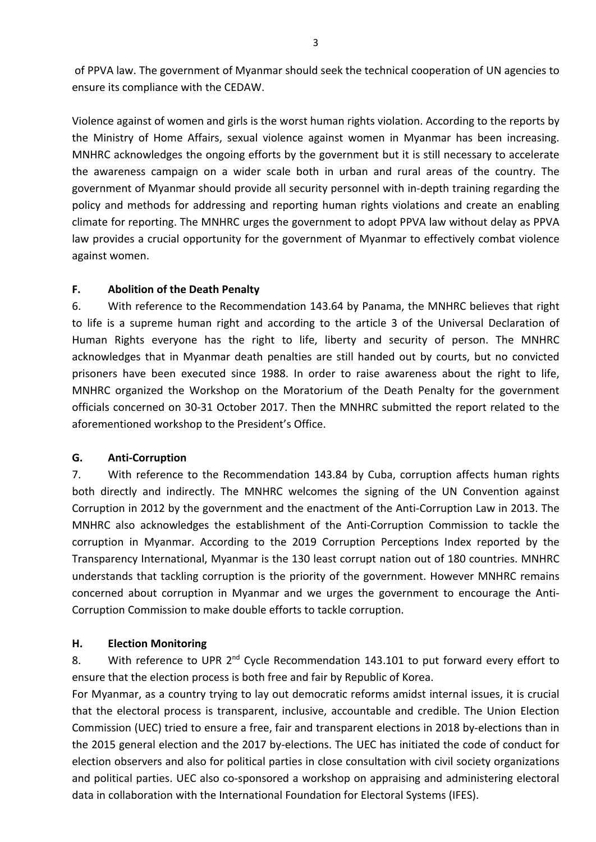of PPVA law. The government of Myanmar should seek the technical cooperation of UN agencies to ensure its compliance with the CEDAW.

Violence against of women and girls is the worst human rights violation. According to the reports by the Ministry of Home Affairs, sexual violence against women in Myanmar has been increasing. MNHRC acknowledges the ongoing efforts by the government but it is still necessary to accelerate the awareness campaign on <sup>a</sup> wider scale both in urban and rural areas of the country. The government of Myanmar should provide all security personnel with in-depth training regarding the policy and methods for addressing and reporting human rights violations and create an enabling climate for reporting. The MNHRC urges the government to adopt PPVA law without delay as PPVA law provides <sup>a</sup> crucial opportunity for the government of Myanmar to effectively combat violence against women.

## **F. Abolition of the Death Penalty**

6. With reference to the Recommendation 143.64 by Panama, the MNHRC believes that right to life is <sup>a</sup> supreme human right and according to the article 3 of the Universal Declaration of Human Rights everyone has the right to life, liberty and security of person. The MNHRC acknowledges that in Myanmar death penalties are still handed out by courts, but no convicted prisoners have been executed since 1988. In order to raise awareness about the right to life, MNHRC organized the Workshop on the Moratorium of the Death Penalty for the government officials concerned on 30-31 October 2017. Then the MNHRC submitted the report related to the aforementioned workshop to the President'<sup>s</sup> Office.

# **G. Anti-Corruption**

7. With reference to the Recommendation 143.84 by Cuba, corruption affects human rights both directly and indirectly. The MNHRC welcomes the signing of the UN Convention against Corruption in 2012 by the government and the enactment of the Anti-Corruption Law in 2013. The MNHRC also acknowledges the establishment of the Anti-Corruption Commission to tackle the corruption in Myanmar. According to the 2019 Corruption Perceptions Index reported by the Transparency International, Myanmar is the 130 least corrupt nation out of 180 countries. MNHRC understands that tackling corruption is the priority of the government. However MNHRC remains concerned about corruption in Myanmar and we urges the government to encourage the Anti-Corruption Commission to make double efforts to tackle corruption.

### **H. Election Monitoring**

8. Mith reference to UPR 2<sup>nd</sup> Cycle Recommendation 143.101 to put forward every effort to ensure that the election process is both free and fair by Republic of Korea.

For Myanmar, as <sup>a</sup> country trying to lay out democratic reforms amidst internal issues, it is crucial that the electoral process is transparent, inclusive, accountable and credible. The Union Election Commission (UEC) tried to ensure <sup>a</sup> free, fair and transparent elections in 2018 by-elections than in the 2015 general election and the 2017 by-elections. The UEC has initiated the code of conduct for election observers and also for political parties in close consultation with civil society organizations and political parties. UEC also co-sponsored <sup>a</sup> workshop on appraising and administering electoral data in collaboration with the International Foundation for Electoral Systems (IFES).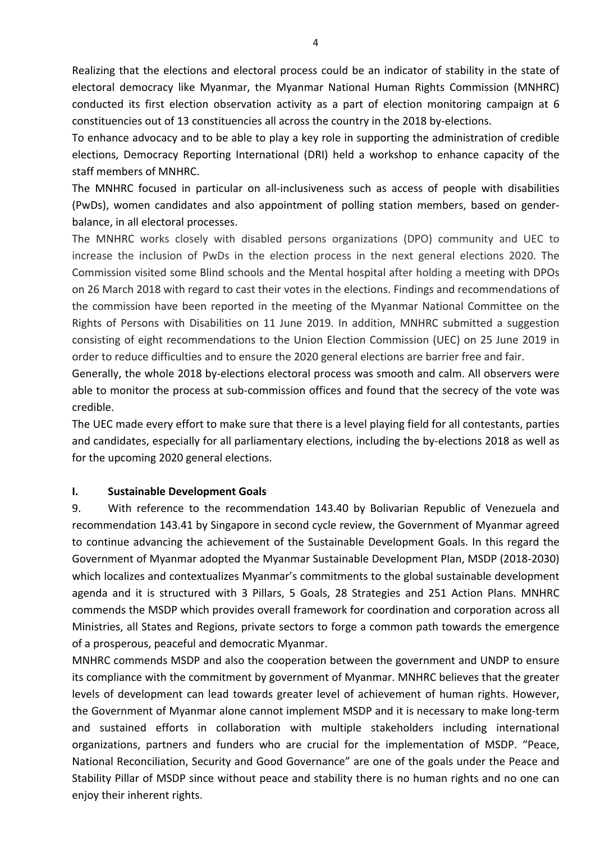Realizing that the elections and electoral process could be an indicator of stability in the state of electoral democracy like Myanmar, the Myanmar National Human Rights Commission (MNHRC) conducted its first election observation activity as <sup>a</sup> part of election monitoring campaign at 6 constituencies out of 13 constituencies all across the country in the 2018 by-elections.

To enhance advocacy and to be able to play <sup>a</sup> key role in supporting the administration of credible elections, Democracy Reporting International (DRI) held <sup>a</sup> workshop to enhance capacity of the staff members of MNHRC.

The MNHRC focused in particular on all-inclusiveness such as access of people with disabilities (PwDs), women candidates and also appointment of polling station members, based on genderbalance, in all electoral processes.

The MNHRC works closely with disabled persons organizations (DPO) community and UEC to increase the inclusion of PwDs in the election process in the next general elections 2020. The Commission visited some Blind schools and the Mental hospital after holding <sup>a</sup> meeting with DPOs on 26 March 2018 with regard to cast their votes in the elections. Findings and recommendations of the commission have been reported in the meeting of the Myanmar National Committee on the Rights of Persons with Disabilities on 11 June 2019. In addition, MNHRC submitted <sup>a</sup> suggestion consisting of eight recommendations to the Union Election Commission (UEC) on 25 June 2019 in order to reduce difficulties and to ensure the 2020 general elections are barrier free and fair.

Generally, the whole 2018 by-elections electoral process was smooth and calm. All observers were able to monitor the process at sub-commission offices and found that the secrecy of the vote was credible.

The UEC made every effort to make sure that there is <sup>a</sup> level playing field for all contestants, parties and candidates, especially for all parliamentary elections, including the by-elections 2018 as well as for the upcoming 2020 general elections.

### **I. Sustainable Development Goals**

9. With reference to the recommendation 143.40 by Bolivarian Republic of Venezuela and recommendation 143.41 by Singapore in second cycle review, the Government of Myanmar agreed to continue advancing the achievement of the Sustainable Development Goals. In this regard the Government of Myanmar adopted the Myanmar Sustainable Development Plan, MSDP (2018-2030) which localizes and contextualizes Myanmar'<sup>s</sup> commitments to the global sustainable development agenda and it is structured with 3 Pillars, 5 Goals, 28 Strategies and 251 Action Plans. MNHRC commends the MSDP which provides overall framework for coordination and corporation across all Ministries, all States and Regions, private sectors to forge <sup>a</sup> common path towards the emergence of <sup>a</sup> prosperous, peaceful and democratic Myanmar.

MNHRC commends MSDP and also the cooperation between the government and UNDP to ensure its compliance with the commitment by government of Myanmar. MNHRC believes that the greater levels of development can lead towards greater level of achievement of human rights. However, the Government of Myanmar alone cannot implement MSDP and it is necessary to make long-term and sustained efforts in collaboration with multiple stakeholders including international organizations, partners and funders who are crucial for the implementation of MSDP. "Peace, National Reconciliation, Security and Good Governance" are one of the goals under the Peace and Stability Pillar of MSDP since without peace and stability there is no human rights and no one can enjoy their inherent rights.